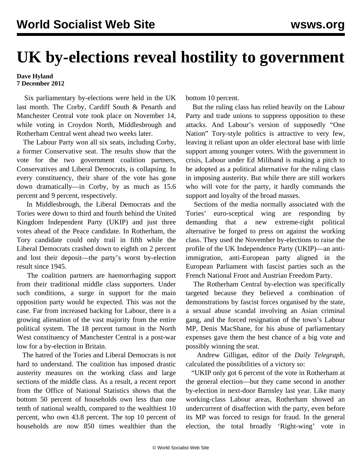## **UK by-elections reveal hostility to government**

## **Dave Hyland 7 December 2012**

 Six parliamentary by-elections were held in the UK last month. The Corby, Cardiff South & Penarth and Manchester Central vote took place on November 14, while voting in Croydon North, Middlesbrough and Rotherham Central went ahead two weeks later.

 The Labour Party won all six seats, including Corby, a former Conservative seat. The results show that the vote for the two government coalition partners, Conservatives and Liberal Democrats, is collapsing. In every constituency, their share of the vote has gone down dramatically—in Corby, by as much as 15.6 percent and 9 percent, respectively.

 In Middlesbrough, the Liberal Democrats and the Tories were down to third and fourth behind the United Kingdom Independent Party (UKIP) and just three votes ahead of the Peace candidate. In Rotherham, the Tory candidate could only trail in fifth while the Liberal Democrats crashed down to eighth on 2 percent and lost their deposit—the party's worst by-election result since 1945.

 The coalition partners are haemorrhaging support from their traditional middle class supporters. Under such conditions, a surge in support for the main opposition party would be expected. This was not the case. Far from increased backing for Labour, there is a growing alienation of the vast majority from the entire political system. The 18 percent turnout in the North West constituency of Manchester Central is a post-war low for a by-election in Britain.

 The hatred of the Tories and Liberal Democrats is not hard to understand. The coalition has imposed drastic austerity measures on the working class and large sections of the middle class. As a result, a recent report from the Office of National Statistics shows that the bottom 50 percent of households own less than one tenth of national wealth, compared to the wealthiest 10 percent, who own 43.8 percent. The top 10 percent of households are now 850 times wealthier than the

bottom 10 percent.

 But the ruling class has relied heavily on the Labour Party and trade unions to suppress opposition to these attacks. And Labour's version of supposedly "One Nation" Tory-style politics is attractive to very few, leaving it reliant upon an older electoral base with little support among younger voters. With the government in crisis, Labour under Ed Miliband is making a pitch to be adopted as a political alternative for the ruling class in imposing austerity. But while there are still workers who will vote for the party, it hardly commands the support and loyalty of the broad masses.

 Sections of the media normally associated with the Tories' euro-sceptical wing are responding by demanding that a new extreme-right political alternative be forged to press on against the working class. They used the November by-elections to raise the profile of the UK Independence Party (UKIP)—an antiimmigration, anti-European party aligned in the European Parliament with fascist parties such as the French National Front and Austrian Freedom Party.

 The Rotherham Central by-election was specifically targeted because they believed a combination of demonstrations by fascist forces organised by the state, a sexual abuse scandal involving an Asian criminal gang, and the forced resignation of the town's Labour MP, Denis MacShane, for his abuse of parliamentary expenses gave them the best chance of a big vote and possibly winning the seat.

 Andrew Gilligan, editor of the *Daily Telegraph*, calculated the possibilities of a victory so:

 "UKIP only got 6 percent of the vote in Rotherham at the general election—but they came second in another by-election in next-door Barnsley last year. Like many working-class Labour areas, Rotherham showed an undercurrent of disaffection with the party, even before its MP was forced to resign for fraud. [In the general](http://www.rotherham.gov.uk/info/1000/elections-results/1511/2010_uk_parliamentary_general_election_results/3%22%20%5Ct%20%22_blank) [election](http://www.rotherham.gov.uk/info/1000/elections-results/1511/2010_uk_parliamentary_general_election_results/3%22%20%5Ct%20%22_blank), the total broadly 'Right-wing' vote in